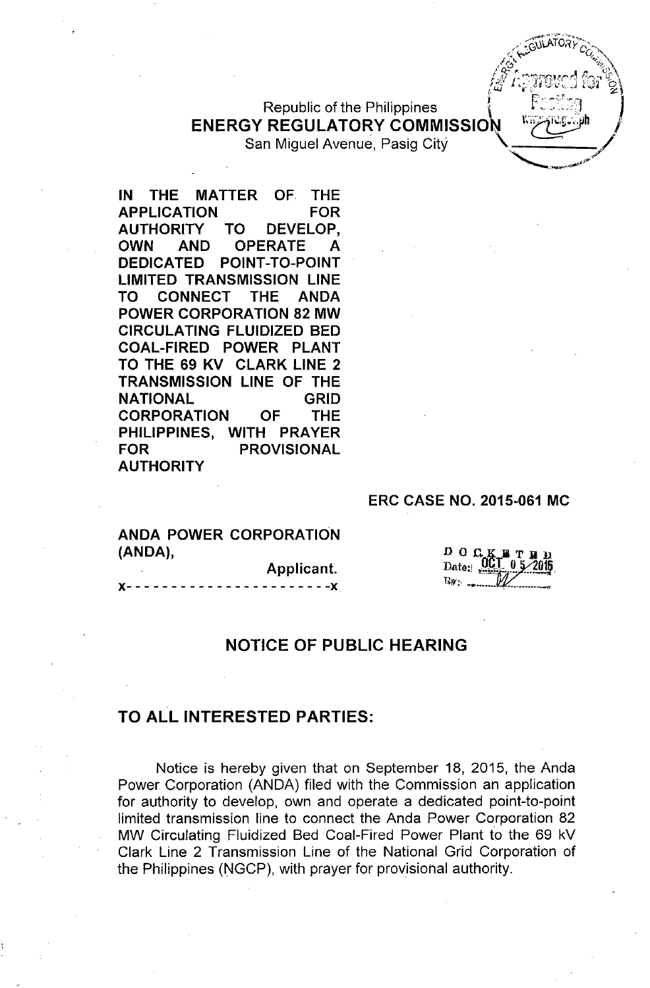# Republic of the Philippines **ENERGY REGULATORY COMMISSION**

San Miguel Avenue, Pasig City

**IN THE MATTER OF THE APPLICATION FOR AUTHORITY TO DEVELOP, OWN AND OPERATE A DEDICATED POINT-TO-POINT LIMITED TRANSMISSION LINE TO CONNECT THE ANDA POWER CORPORATION 82 MW CIRCULATING FLUIDIZED BED COAL-FIRED POWER PLANT TO THE 69 KV CLARK LINE 2 TRANSMISSION LINE OF THE NATIONAL GRID CORPORATION OF THE PHILIPPINES, WITH PRAYER FOR PROVISIONAL AUTHORITY**

#### **ERC CASE NO. 2015-061 MC**

рос Data i

 $-$  ,  $-$  ,  $-$  ,  $-$  ,  $-$  ,  $-$  ,  $-$  ,  $-$  ,  $-$  ,  $-$  ,  $-$  ,  $-$  ,  $-$  ,  $-$  ,  $-$  ,  $-$  ,  $-$  ,  $-$  ,  $-$  ,  $-$  ,  $-$  ,  $-$  ,  $-$  ,  $-$  ,  $-$  ,  $-$  ,  $-$  ,  $-$  ,  $-$  ,  $-$  ,  $-$  ,  $-$  ,  $-$  ,  $-$  ,  $-$  ,  $-$  ,  $-$  ,  $\sim$  GUILATORY  $\gtrsim$ *..,~f~v q...~ .'r"'..... ;r~f1.~ t~ /,)* /~<-,., ~~ c *r';l* ,.M~.f'n,,'r....I)",., *<r*

/*// 1.310VCI* 107 6 <sup>I</sup> *t.LJ* <sup>W</sup> L. z-

> , ,7 ~ ..~-~"..?"

*j*

**ANDA POWER CORPORATION (ANDA), Applicant.**

**x- - - - - - - - - - - - - - - - - - - - - - -x**

### **NOTICE OF PUBLIC HEARING**

### **TO ALL INTERESTED PARTIES:**

Notice is hereby given that on September 18, 2015, the Anda Power Corporation (ANDA) filed with the Commission an application for authority to develop, own and operate a dedicated point-to-point limited transmission line to connect the Anda Power Corporation 82 MW Circulating Fluidized Bed Coal-Fired Power Plant to the 69 kV Clark Line 2 Transmission Line of the National Grid Corporation of the Philippines (NGCP), with prayer for provisional authority.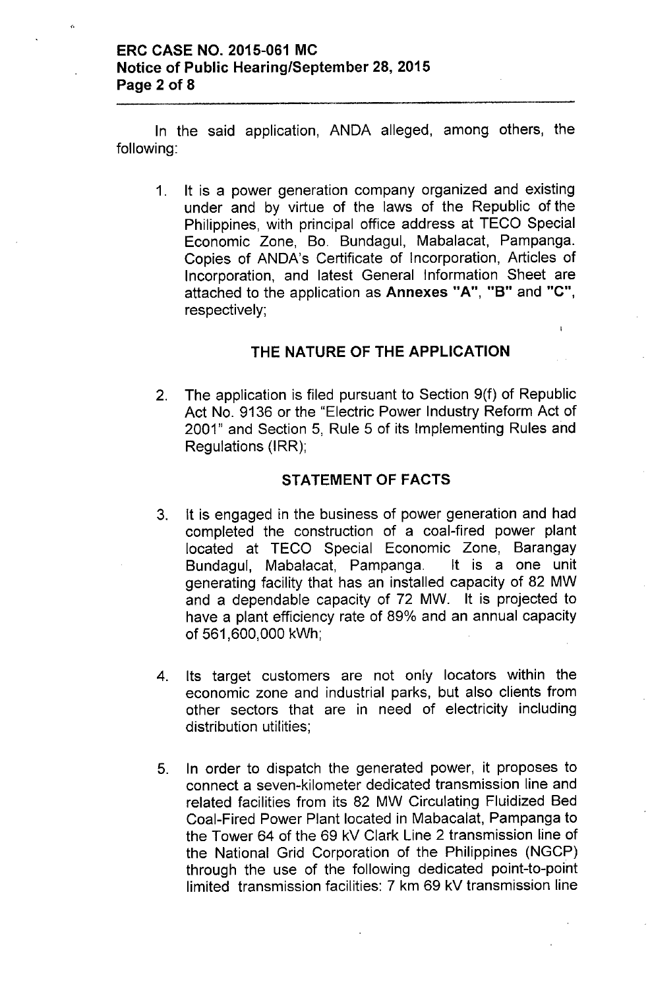In the said application, ANDA alleged, among others, the following:

1. It is a power generation company organized and existing under and by virtue of the laws of the Republic of the Philippines, with principal office address at TECO Special Economic Zone, Bo. Bundagul, Mabalacat, Pampanga. Copies of ANDA's Certificate of Incorporation, Articles of Incorporation, and latest General Information Sheet are attached to the application as Annexes "A", "B" and "C", respectively;

## THE NATURE OF THE APPLICATION

 $\overline{1}$ 

2. The application is filed pursuant to Section 9(f) of Republic Act No. 9136 or the "Electric Power Industry Reform Act of 2001" and Section 5, Rule 5 of its Implementing Rules and Regulations (IRR);

## STATEMENT OF FACTS

- 3. It is engaged in the business of power generation and had completed the construction of a coal-fired power plant located at TECO Special Economic Zone, Barangay Bundagul, Mabalacat, Pampanga. It is a one unit generating facility that has an installed capacity of 82 MW and a dependable capacity of 72 MW. It is projected to have a plant efficiency rate of 89% and an annual capacity of 561 ,600,000 kWh;
- 4. Its target customers are not only locators within the economic zone and industrial parks, but also clients from other sectors that are in need of electricity including distribution utilities;
- 5. In order to dispatch the generated power, it proposes to connect a seven-kilometer dedicated transmission line and related facilities from its 82 MW Circulating Fluidized Bed Coal-Fired Power Plant located in Mabacalat, Pampanga to the Tower 64 of the 69 kV Clark Line 2 transmission line of the National Grid Corporation of the Philippines (NGCP) through the use of the following dedicated point-to-point limited transmission facilities: 7 km 69 kV transmission line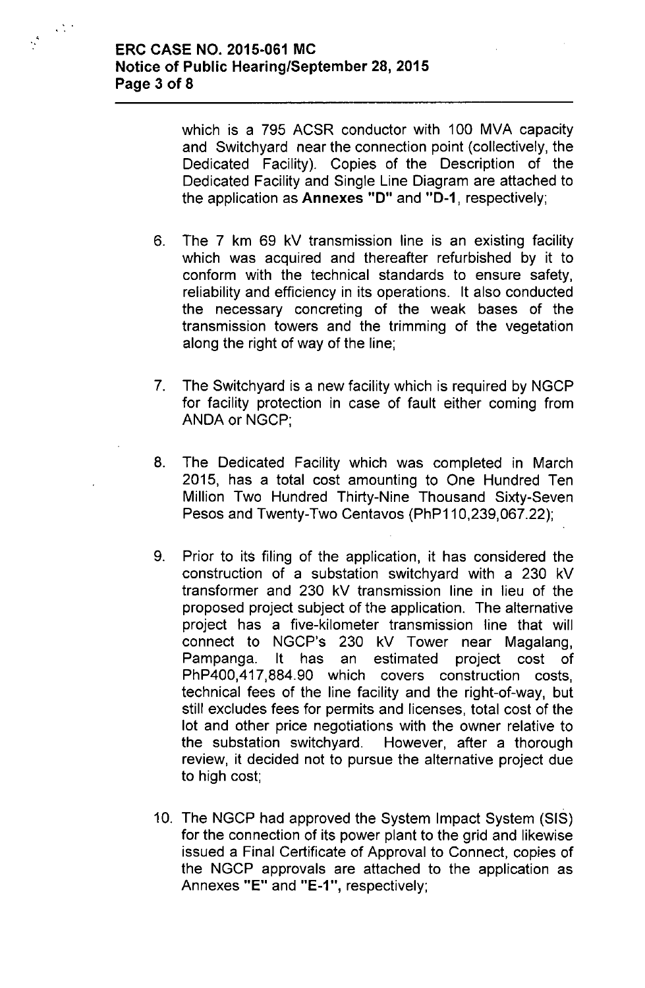$\langle \cdot, \cdot \rangle$ 

 $\frac{1}{\sqrt{2}}$ 

which is a 795 ACSR conductor with 100 MVA capacity and Switchyard near the connection point (collectively, the Dedicated Facility). Copies of the Description of the Dedicated Facility and Single Line Diagram are attached to the application as Annexes "D" and "D-1, respectively;

- 6. The 7 km 69 kV transmission line is an existing facility which was acquired and thereafter refurbished by it to conform with the technical standards to ensure safety, reliability and efficiency in its operations. It also conducted the necessary concreting of the weak bases of the transmission towers and the trimming of the vegetation along the right of way of the line;
- 7. The Switchyard is a new facility which is required by NGCP for facility protection in case of fault either coming from ANDA or NGCP;
- 8. The Dedicated Facility which was completed in March 2015, has a total cost amounting to One Hundred Ten Million Two Hundred Thirty-Nine Thousand Sixty-Seven Pesos and Twenty-Two Centavos (PhP110,239,067.22);
- 9. Prior to its filing of the application, it has considered the construction of a substation switchyard with a 230 kV transformer and 230 kV transmission line in lieu of the proposed project subject of the application. The alternative project has a five-kilometer transmission line that will connect to NGCP's 230 kV Tower near Magalang, Pampanga. It has an estimated project cost of PhP400,417,884.90 which covers construction costs, technical fees of the line facility and the right-of-way, but still excludes fees for permits and licenses, total cost of the lot and other price negotiations with the owner relative to the substation switchyard. However, after a thorough review, it decided not to pursue the alternative project due to high cost;
- 10. The NGCP had approved the System Impact System (SIS) for the connection of its power plant to the grid and likewise issued a Final Certificate of Approval to Connect, copies of the NGCP approvals are attached to the application as Annexes "E" and "E-1", respectively;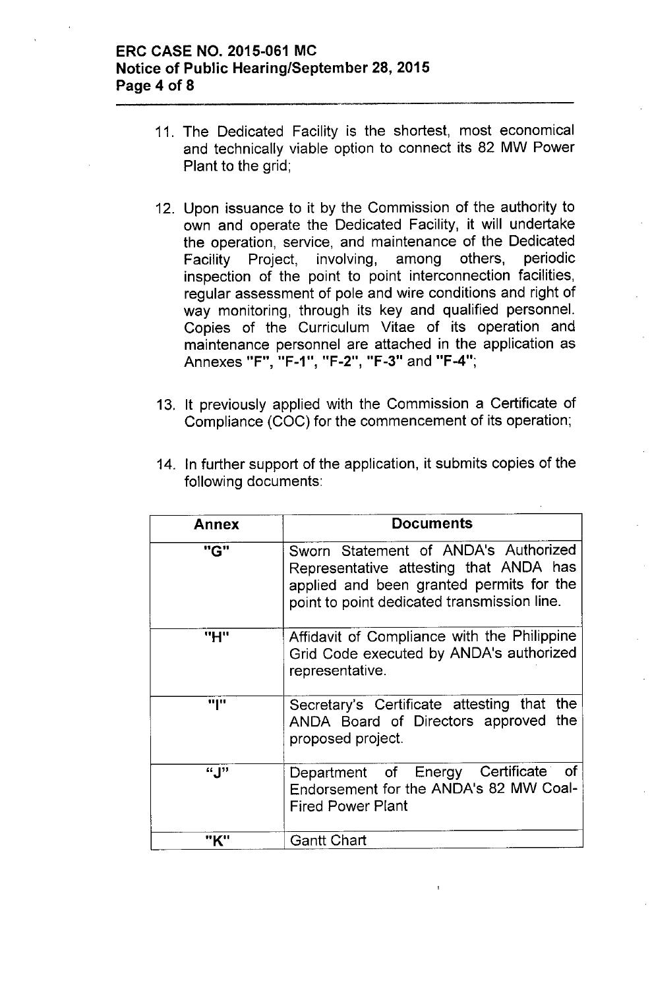## ERC CASE NO. 2015-061 MC Notice of Public Hearing/September 28, 2015 Page 4 of 8

- 11. The Dedicated Facility is the shortest, most economical and technically viable option to connect its 82 MW Power Plant to the grid;
- 12. Upon issuance to it by the Commission of the authority to own and operate the Dedicated Facility, it will undertake the operation, service, and maintenance of the Dedicated Facility Project, involving, among others, periodic inspection of the point to point interconnection facilities, regular assessment of pole and wire conditions and right of way monitoring, through its key and qualified personnel. Copies of the Curriculum Vitae of its operation and maintenance personnel are attached in the application as Annexes "F", "F-1", "F-2", "F-3" and "F-4";
- 13. It previously applied with the Commission a Certificate of Compliance (COC) for the commencement of its operation;

| Annex | <b>Documents</b>                                                                                                                                                          |
|-------|---------------------------------------------------------------------------------------------------------------------------------------------------------------------------|
| "G"   | Sworn Statement of ANDA's Authorized<br>Representative attesting that ANDA has<br>applied and been granted permits for the<br>point to point dedicated transmission line. |
| "H"   | Affidavit of Compliance with the Philippine<br>Grid Code executed by ANDA's authorized<br>representative.                                                                 |
| որա   | Secretary's Certificate attesting that the<br>ANDA Board of Directors approved the<br>proposed project.                                                                   |
| "J"   | Department of Energy Certificate of<br>Endorsement for the ANDA's 82 MW Coal-<br><b>Fired Power Plant</b>                                                                 |
| "K"   | <b>Gantt Chart</b>                                                                                                                                                        |

14. In further support of the application, it submits copies of the following documents: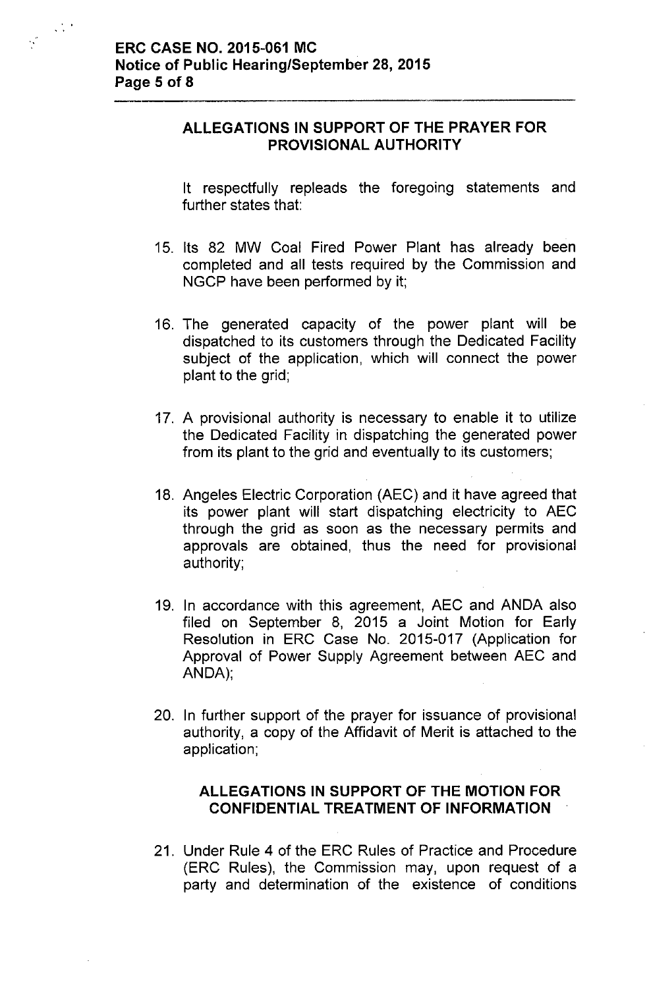$\frac{1}{2} \sum_{i=1}^{n}$ 

# **ALLEGATIONS IN SUPPORT OF THE PRAYER FOR PROVISIONAL AUTHORITY**

It respectfully repleads the foregoing statements and further states that:

- 15. Its 82 MW Coal Fired Power Plant has already been completed and all tests required by the Commission and NGCP have been performed by it;
- 16. The generated capacity of the power plant will be dispatched to its customers through the Dedicated Facility subject of the application, which will connect the power plant to the grid;
- 17. A provisional authority is necessary to enable it to utilize the Dedicated Facility in dispatching the generated power from its plant to the grid and eventually to its customers;
- 18. Angeles Electric Corporation (AEC) and it have agreed that its power plant will start dispatching electricity to AEC through the grid as soon as the necessary permits and approvals are obtained, thus the need for provisional authority;
- 19. In accordance with this agreement, AEC and ANDA also filed on September 8, 2015 a Joint Motion for Early Resolution in ERC Case No. 2015-017 (Application for Approval of Power Supply Agreement between AEC and ANDA);
- 20. In further support of the prayer for issuance of provisional authority, a copy of the Affidavit of Merit is attached to the application;

# **ALLEGATIONS IN SUPPORT OF THE MOTION FOR CONFIDENTIAL TREATMENT OF INFORMATION**

21. Under Rule 4 of the ERC Rules of Practice and Procedure (ERC Rules), the Commission may, upon request of a party and determination of the existence of conditions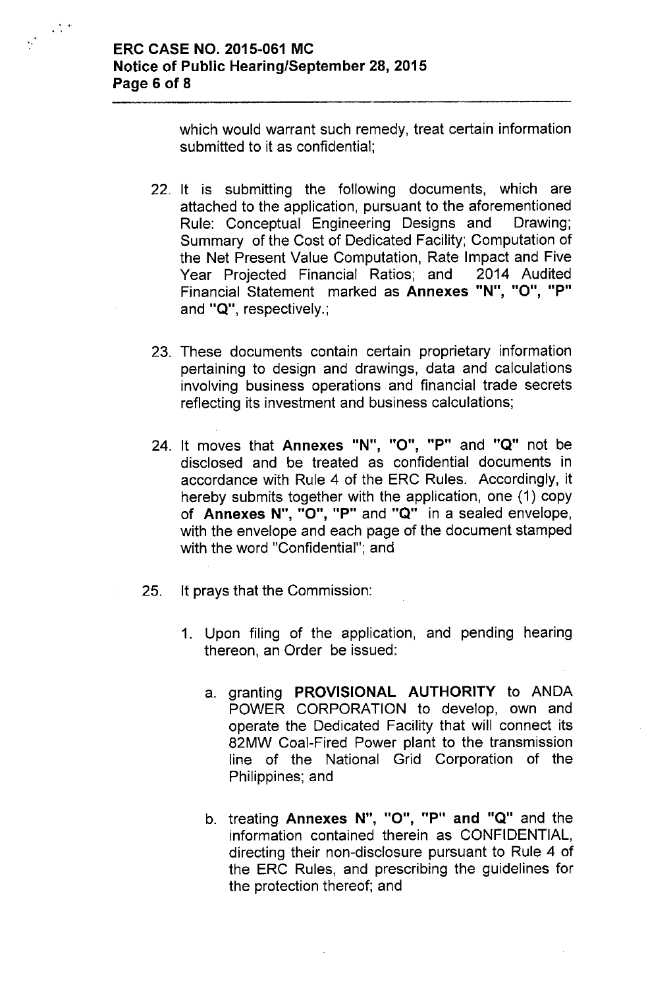$\sim$   $\sim$ 

 $\frac{1}{2} \sum_{i=1}^{n} \frac{1}{2} \left( \frac{1}{2} \right)^{2} \left( \frac{1}{2} \right)^{2} \left( \frac{1}{2} \right)^{2}$ 

which would warrant such remedy, treat certain information submitted to it as confidential;

- 22. It is submitting the following documents, which are attached to the application, pursuant to the aforementioned Rule: Conceptual Engineering Designs and Drawing; Summary of the Cost of Dedicated Facility; Computation of the Net Present Value Computation, Rate Impact and Five Year Projected Financial Ratios; and 2014 Audited Financial Statement marked as **Annexes "N"** , *"0"* , **"P"** and **"a",** respectively.;
- 23. These documents contain certain proprietary information pertaining to design and drawings, data and calculations involving business operations and financial trade secrets reflecting its investment and business calculations;
- 24. It moves that **Annexes "N",** *"0",* **"P"** and **"a"** not be disclosed and be treated as confidential documents in accordance with Rule 4 of the ERC Rules. Accordingly, it hereby submits together with the application, one (1) copy of **Annexes N"**, *"0"* , **"P"** and **"a"** in <sup>a</sup> sealed envelope , with the envelope and each page of the document stamped with the word "Confidential"; and
- 25. It prays that the Commission:
	- 1. Upon filing of the application, and pending hearing thereon, an Order be issued:
		- a. granting **PROVISIONAL AUTHORITY** to ANDA POWER CORPORATION to develop, own and operate the Dedicated Facility that will connect its 82MW Coal-Fired Power plant to the transmission line of the National Grid Corporation of the Philippines; and
		- b. treating **Annexes N",** *"0",* **"P" and "a"** and the information contained therein as CONFIDENTIAL, directing their non-disclosure pursuant to Rule 4 of the ERC Rules, and prescribing the guidelines for the protection thereof; and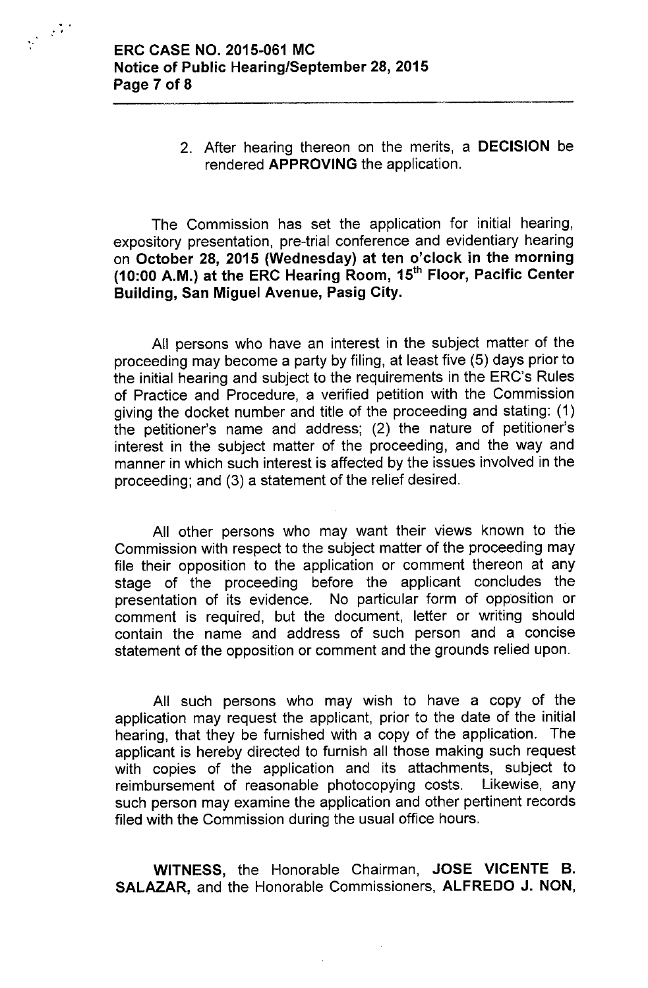'.

..

2. After hearing thereon on the merits, a DECISION be rendered APPROVING the application.

The Commission has set the application for initial hearing, expository presentation, pre-trial conference and evidentiary hearing on October 28, 2015 (Wednesday) at ten o'clock in the morning (10:00 A.M.) at the ERC Hearing Room, 15<sup>th</sup> Floor, Pacific Center Building, San Miguel Avenue, Pasig City.

All persons who have an interest in the subject matter of the proceeding may become a party by filing, at least five (5) days prior to the initial hearing and subject to the requirements in the ERC's Rules of Practice and Procedure, a verified petition with the Commission giving the docket number and title of the proceeding and stating: (1) the petitioner's name and address; (2) the nature of petitioner's interest in the subject matter of the proceeding, and the way and manner in which such interest is affected by the issues involved in the proceeding; and (3) a statement of the relief desired.

All other persons who may want their views known to the Commission with respect to the subject matter of the proceeding may file their opposition to the application or comment thereon at any stage of the proceeding before the applicant concludes the presentation of its evidence. No particular form of opposition or comment is required, but the document, letter or writing should contain the name and address of such person and a concise statement of the opposition or comment and the grounds relied upon.

All such persons who may wish to have a copy of the application may request the applicant, prior to the date of the initial hearing, that they be furnished with a copy of the application. The applicant is hereby directed to furnish all those making such request with copies of the application and its attachments, subject to reimbursement of reasonable photocopying costs. Likewise, any such person may examine the application and other pertinent records filed with the Commission during the usual office hours.

WITNESS, the Honorable Chairman, JOSE VICENTE B. SALAZAR, and the Honorable Commissioners, ALFREDO J. NON,